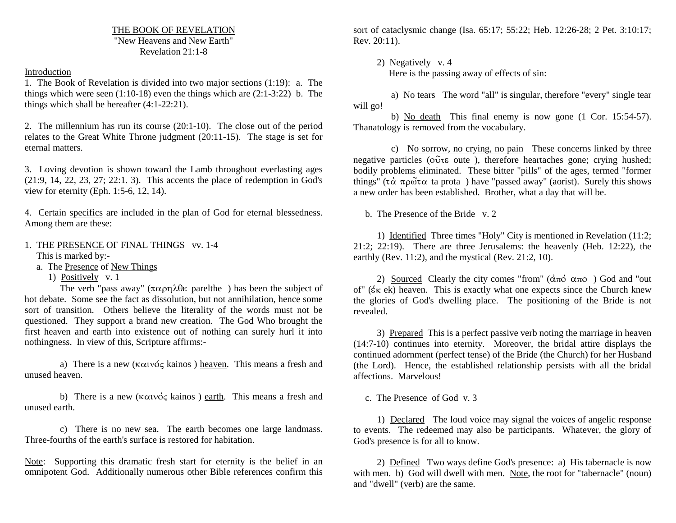THE BOOK OF REVELATION "New Heavens and New Earth"Revelation 21:1-8

Introduction

1. The Book of Revelation is divided into two major sections (1:19): a. The things which were seen  $(1:10-18)$  even the things which are  $(2:1-3:22)$  b. The things which shall be hereafter (4:1-22:21).

2. The millennium has run its course (20:1-10). The close out of the period relates to the Great White Throne judgment (20:11-15). The stage is set for eternal matters.

3. Loving devotion is shown toward the Lamb throughout everlasting ages (21:9, 14, 22, 23, 27; 22:1. 3). This accents the place of redemption in God's view for eternity (Eph. 1:5-6, 12, 14).

4. Certain specifics are included in the plan of God for eternal blessedness. Among them are these:

1. THE PRESENCE OF FINAL THINGS vv. 1-4 This is marked by:-

a. The Presence of New Things

1) Positively v. 1

The verb "pass away"  $(\pi \alpha \rho \eta) \text{d} \varepsilon$  parelthe ) has been the subject of hot debate. Some see the fact as dissolution, but not annihilation, hence some sort of transition. Others believe the literality of the words must not be questioned. They support a brand new creation. The God Who brought the first heaven and earth into existence out of nothing can surely hurl it into nothingness. In view of this, Scripture affirms:-

a) There is a new ( $\kappa \alpha \nu \acute{\alpha} \varsigma$  kainos) heaven. This means a fresh and unused heaven.

b) There is a new ( $\kappa \alpha$  ivoq kainos) earth. This means a fresh and unused earth.

c) There is no new sea. The earth becomes one large landmass. Three-fourths of the earth's surface is restored for habitation.

Note: Supporting this dramatic fresh start for eternity is the belief in an omnipotent God. Additionally numerous other Bible references confirm this

sort of cataclysmic change (Isa. 65:17; 55:22; Heb. 12:26-28; 2 Pet. 3:10:17; Rev. 20:11).

 2) Negatively v. 4 Here is the passing away of effects of sin:

a) No tears The word "all" is singular, therefore "every" single tear will go!

 b) No death This final enemy is now gone (1 Cor. 15:54-57). Thanatology is removed from the vocabulary.

c) No sorrow, no crying, no pain These concerns linked by three negative particles ( $\tilde{\text{o}}\tilde{\text{u}}\tilde{\text{v}}$  oute ), therefore heartaches gone; crying hushed; bodily problems eliminated. These bitter "pills" of the ages, termed "former things" ( $\tau \alpha$   $\pi \rho \tilde{\omega} \tau \alpha$  ta prota ) have "passed away" (aorist). Surely this shows a new order has been established. Brother, what a day that will be.

b. The <u>Presence</u> of the <u>Bride</u> v. 2

 1) Identified Three times "Holy" City is mentioned in Revelation (11:2; 21:2; 22:19). There are three Jerusalems: the heavenly (Heb. 12:22), the earthly (Rev. 11:2), and the mystical (Rev. 21:2, 10).

2) Sourced Clearly the city comes "from"  $(\hat{\alpha}\pi\hat{\alpha} \alpha\pi\hat{\alpha})$  God and "out of" ( $\epsilon$ <sub>K</sub> ek) heaven. This is exactly what one expects since the Church knew the glories of God's dwelling place. The positioning of the Bride is not revealed.

 3) Prepared This is a perfect passive verb noting the marriage in heaven (14:7-10) continues into eternity. Moreover, the bridal attire displays the continued adornment (perfect tense) of the Bride (the Church) for her Husband (the Lord). Hence, the established relationship persists with all the bridal affections. Marvelous!

c. The Presence of God v. 3

 1) Declared The loud voice may signal the voices of angelic response to events. The redeemed may also be participants. Whatever, the glory of God's presence is for all to know.

 2) Defined Two ways define God's presence: a) His tabernacle is now with men. b) God will dwell with men. Note, the root for "tabernacle" (noun) and "dwell" (verb) are the same.